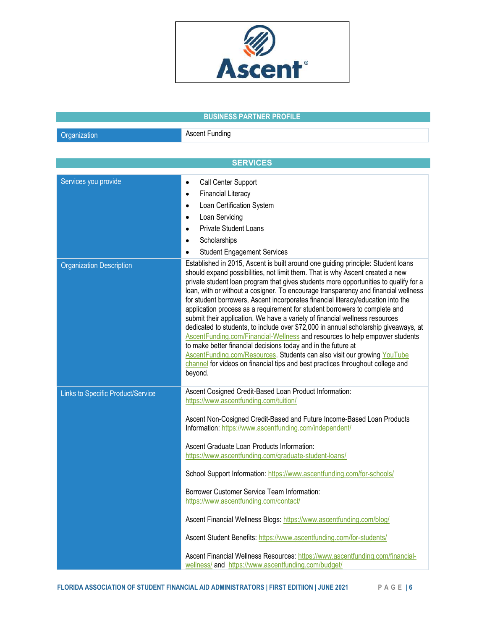

## BUSINESS PARTNER PROFILE **Organization** Ascent Funding **SERVICES** Services you provide Call Center Support Financial Literacy  $\bullet$ Loan Certification System Loan Servicing Private Student Loans **Scholarships** Student Engagement Services Organization Description **Established in 2015**, Ascent is built around one guiding principle: Student loans should expand possibilities, not limit them. That is why Ascent created a new private student loan program that gives students more opportunities to qualify for a loan, with or without a cosigner. To encourage transparency and financial wellness for student borrowers, Ascent incorporates financial literacy/education into the application process as a requirement for student borrowers to complete and submit their application. We have a variety of financial wellness resources dedicated to students, to include over \$72,000 in annual scholarship giveaways, at AscentFunding.com/Financial-Wellness and resources to help empower students to make better financial decisions today and in the future at AscentFunding.com/Resources. Students can also visit our growing YouTube channel for videos on financial tips and best practices throughout college and beyond. Links to Specific Product/Service Ascent Cosigned Credit-Based Loan Product Information: https://www.ascentfunding.com/tuition/ Ascent Non-Cosigned Credit-Based and Future Income-Based Loan Products Information: https://www.ascentfunding.com/independent/ Ascent Graduate Loan Products Information: https://www.ascentfunding.com/graduate-student-loans/ School Support Information: https://www.ascentfunding.com/for-schools/ Borrower Customer Service Team Information: https://www.ascentfunding.com/contact/ Ascent Financial Wellness Blogs: https://www.ascentfunding.com/blog/ Ascent Student Benefits: https://www.ascentfunding.com/for-students/ Ascent Financial Wellness Resources: https://www.ascentfunding.com/financialwellness/ and https://www.ascentfunding.com/budget/